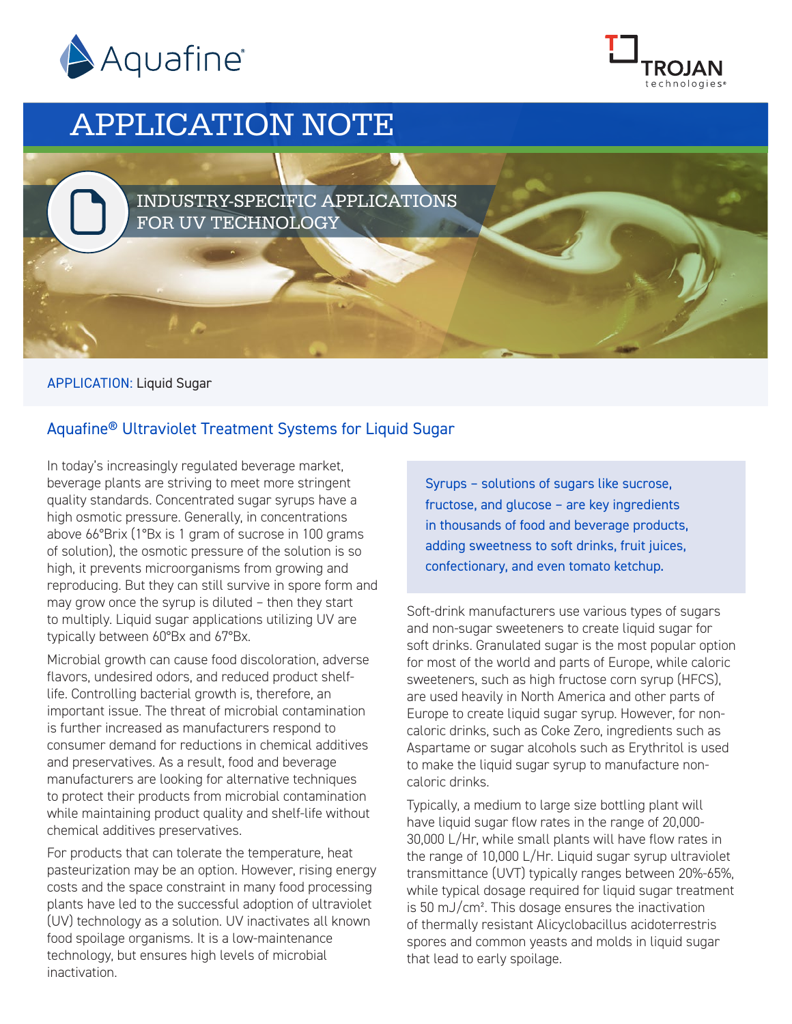



# APPLICATION NOTE

# INDUSTRY-SPECIFIC APPLICATIONS FOR UV TECHNOLOGY

#### APPLICATION: Liquid Sugar

## Aquafine® Ultraviolet Treatment Systems for Liquid Sugar

In today's increasingly regulated beverage market, beverage plants are striving to meet more stringent quality standards. Concentrated sugar syrups have a high osmotic pressure. Generally, in concentrations above 66°Brix (1°Bx is 1 gram of sucrose in 100 grams of solution), the osmotic pressure of the solution is so high, it prevents microorganisms from growing and reproducing. But they can still survive in spore form and may grow once the syrup is diluted – then they start to multiply. Liquid sugar applications utilizing UV are typically between 60°Bx and 67°Bx.

Microbial growth can cause food discoloration, adverse flavors, undesired odors, and reduced product shelflife. Controlling bacterial growth is, therefore, an important issue. The threat of microbial contamination is further increased as manufacturers respond to consumer demand for reductions in chemical additives and preservatives. As a result, food and beverage manufacturers are looking for alternative techniques to protect their products from microbial contamination while maintaining product quality and shelf-life without chemical additives preservatives.

For products that can tolerate the temperature, heat pasteurization may be an option. However, rising energy costs and the space constraint in many food processing plants have led to the successful adoption of ultraviolet (UV) technology as a solution. UV inactivates all known food spoilage organisms. It is a low-maintenance technology, but ensures high levels of microbial inactivation.

Syrups – solutions of sugars like sucrose, fructose, and glucose – are key ingredients in thousands of food and beverage products, adding sweetness to soft drinks, fruit juices, confectionary, and even tomato ketchup.

Soft-drink manufacturers use various types of sugars and non-sugar sweeteners to create liquid sugar for soft drinks. Granulated sugar is the most popular option for most of the world and parts of Europe, while caloric sweeteners, such as high fructose corn syrup (HFCS), are used heavily in North America and other parts of Europe to create liquid sugar syrup. However, for noncaloric drinks, such as Coke Zero, ingredients such as Aspartame or sugar alcohols such as Erythritol is used to make the liquid sugar syrup to manufacture noncaloric drinks.

Typically, a medium to large size bottling plant will have liquid sugar flow rates in the range of 20,000- 30,000 L/Hr, while small plants will have flow rates in the range of 10,000 L/Hr. Liquid sugar syrup ultraviolet transmittance (UVT) typically ranges between 20%-65%, while typical dosage required for liquid sugar treatment is 50 mJ/cm². This dosage ensures the inactivation of thermally resistant Alicyclobacillus acidoterrestris spores and common yeasts and molds in liquid sugar that lead to early spoilage.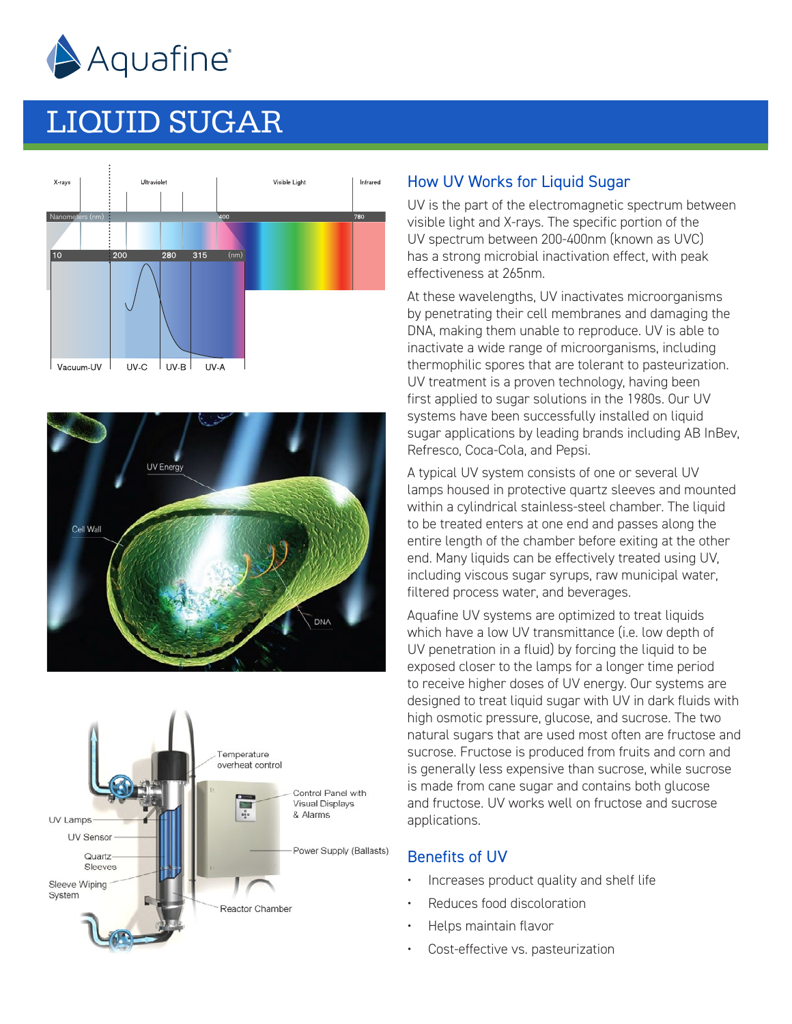

# LIQUID SUGAR







### How UV Works for Liquid Sugar

UV is the part of the electromagnetic spectrum between visible light and X-rays. The specific portion of the UV spectrum between 200-400nm (known as UVC) has a strong microbial inactivation effect, with peak effectiveness at 265nm.

At these wavelengths, UV inactivates microorganisms by penetrating their cell membranes and damaging the DNA, making them unable to reproduce. UV is able to inactivate a wide range of microorganisms, including thermophilic spores that are tolerant to pasteurization. UV treatment is a proven technology, having been first applied to sugar solutions in the 1980s. Our UV systems have been successfully installed on liquid sugar applications by leading brands including AB InBev, Refresco, Coca-Cola, and Pepsi.

A typical UV system consists of one or several UV lamps housed in protective quartz sleeves and mounted within a cylindrical stainless-steel chamber. The liquid to be treated enters at one end and passes along the entire length of the chamber before exiting at the other end. Many liquids can be effectively treated using UV, including viscous sugar syrups, raw municipal water, filtered process water, and beverages.

Aquafine UV systems are optimized to treat liquids which have a low UV transmittance (i.e. low depth of UV penetration in a fluid) by forcing the liquid to be exposed closer to the lamps for a longer time period to receive higher doses of UV energy. Our systems are designed to treat liquid sugar with UV in dark fluids with high osmotic pressure, glucose, and sucrose. The two natural sugars that are used most often are fructose and sucrose. Fructose is produced from fruits and corn and is generally less expensive than sucrose, while sucrose is made from cane sugar and contains both glucose and fructose. UV works well on fructose and sucrose applications.

### Benefits of UV

- Increases product quality and shelf life
- Reduces food discoloration
- Helps maintain flavor
- Cost-effective vs. pasteurization